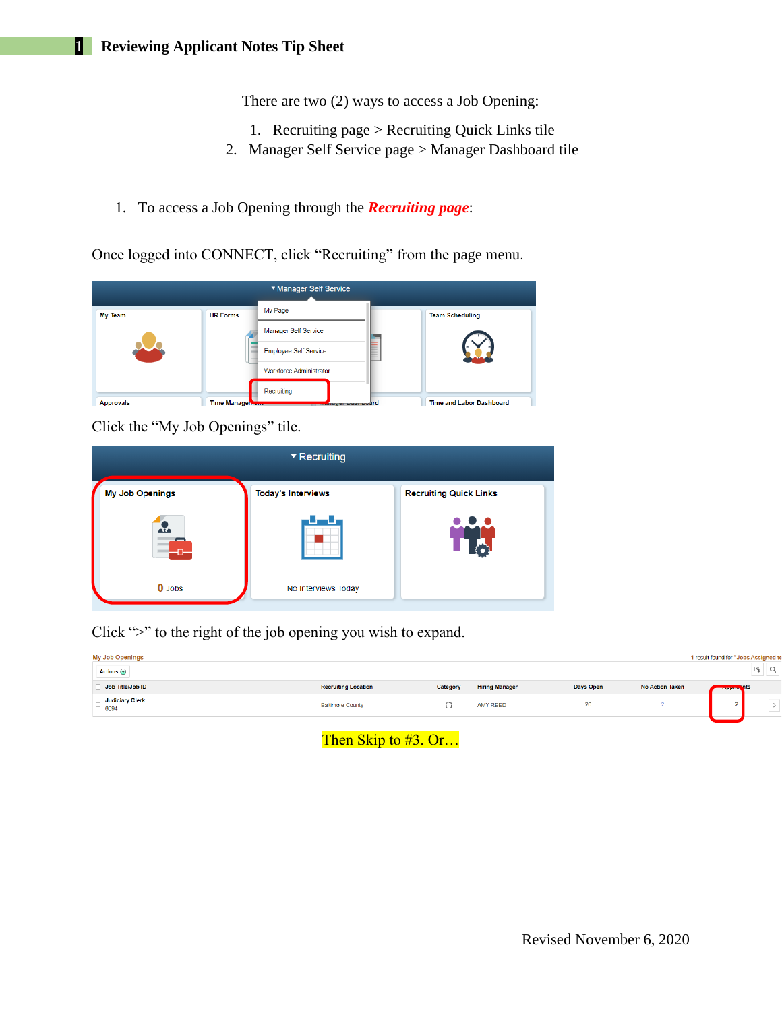There are two (2) ways to access a Job Opening:

- 1. Recruiting page > Recruiting Quick Links tile
- 2. Manager Self Service page > Manager Dashboard tile
- 1. To access a Job Opening through the *Recruiting page*:

Once logged into CONNECT, click "Recruiting" from the page menu.

| <b>My Team</b>   | <b>HR Forms</b>     | My Page                        | <b>Team Scheduling</b>          |
|------------------|---------------------|--------------------------------|---------------------------------|
|                  |                     | <b>Manager Self Service</b>    |                                 |
|                  |                     | <b>Employee Self Service</b>   |                                 |
|                  |                     | <b>Workforce Administrator</b> |                                 |
|                  |                     | Recruiting                     |                                 |
| <b>Approvals</b> | <b>Time Manager</b> | mayer Dusmoodrd                | <b>Time and Labor Dashboard</b> |

Click the "My Job Openings" tile.

| $\blacktriangleright$ Recruiting |                           |                               |  |  |  |  |  |  |
|----------------------------------|---------------------------|-------------------------------|--|--|--|--|--|--|
| <b>My Job Openings</b>           | <b>Today's Interviews</b> | <b>Recruiting Quick Links</b> |  |  |  |  |  |  |
| ж,<br>Æ                          |                           |                               |  |  |  |  |  |  |
| $0$ Jobs                         | No Interviews Today       |                               |  |  |  |  |  |  |

Click ">" to the right of the job opening you wish to expand.

| <b>My Job Openings</b><br>Actions $\odot$ |                            |          |                       |           |                        | 1 result found for "Jobs Assigned to<br>×,<br>∽ |
|-------------------------------------------|----------------------------|----------|-----------------------|-----------|------------------------|-------------------------------------------------|
| Job Title/Job ID                          | <b>Recruiting Location</b> | Category | <b>Hiring Manager</b> | Days Open | <b>No Action Taken</b> | <b>Example Street Section</b>                   |
| <b>Judiciary Clerk</b><br>6094            | <b>Baltimore County</b>    | فمساة    | <b>AMY REED</b>       | 20        |                        | $\sim$<br>$-$                                   |
|                                           |                            |          |                       |           |                        |                                                 |

Then Skip to #3. Or...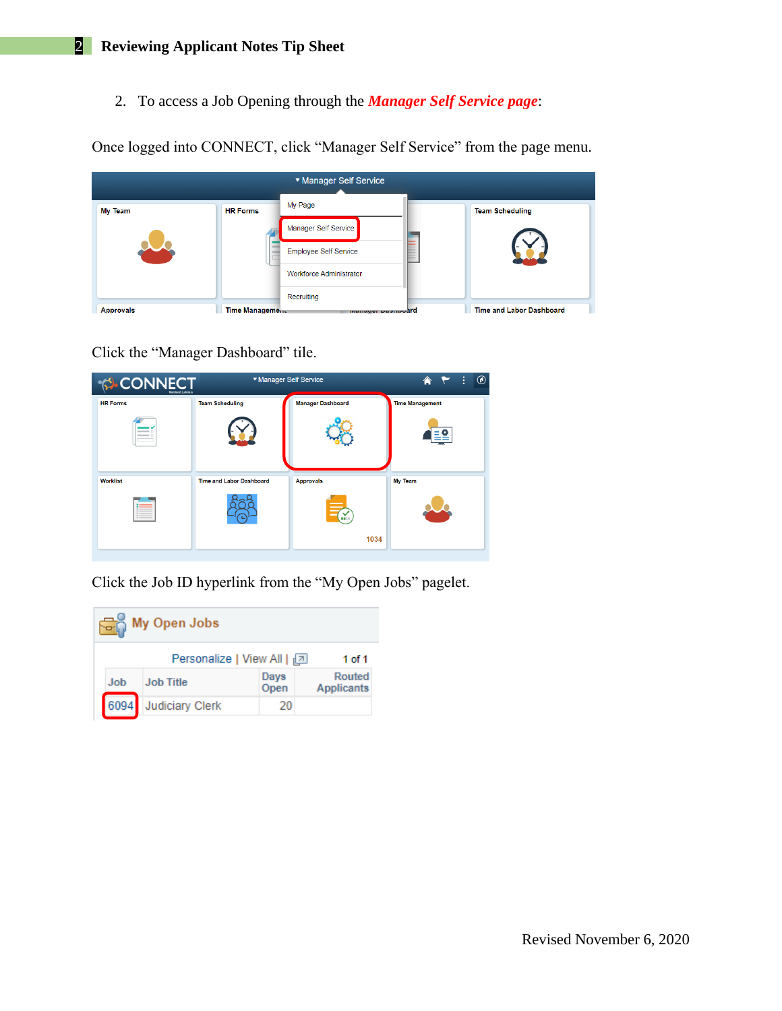2. To access a Job Opening through the *Manager Self Service page*:

Once logged into CONNECT, click "Manager Self Service" from the page menu.

| ▼ Manager Self Service |                 |                                |  |                                 |  |  |  |  |
|------------------------|-----------------|--------------------------------|--|---------------------------------|--|--|--|--|
| <b>My Team</b>         | <b>HR Forms</b> | My Page                        |  | <b>Team Scheduling</b>          |  |  |  |  |
|                        |                 | Manager Self Service           |  |                                 |  |  |  |  |
|                        |                 | <b>Employee Self Service</b>   |  |                                 |  |  |  |  |
|                        |                 | <b>Workforce Administrator</b> |  |                                 |  |  |  |  |
|                        |                 | Recruiting                     |  |                                 |  |  |  |  |
| <b>Approvals</b>       | Time Management | manager pasmoodrd              |  | <b>Time and Labor Dashboard</b> |  |  |  |  |

Click the "Manager Dashboard" tile.

| <b>CONNECT</b><br>Maryland Judiciary | ▼ Manager Self Service          | $\circledcirc$<br>÷<br>A |                        |  |  |  |
|--------------------------------------|---------------------------------|--------------------------|------------------------|--|--|--|
| <b>HR Forms</b>                      | <b>Team Scheduling</b>          | <b>Manager Dashboard</b> | <b>Time Management</b> |  |  |  |
|                                      |                                 |                          |                        |  |  |  |
| <b>Worklist</b>                      | <b>Time and Labor Dashboard</b> | <b>Approvals</b>         | My Team                |  |  |  |
|                                      |                                 |                          |                        |  |  |  |
|                                      |                                 | 1034                     |                        |  |  |  |

Click the Job ID hyperlink from the "My Open Jobs" pagelet.

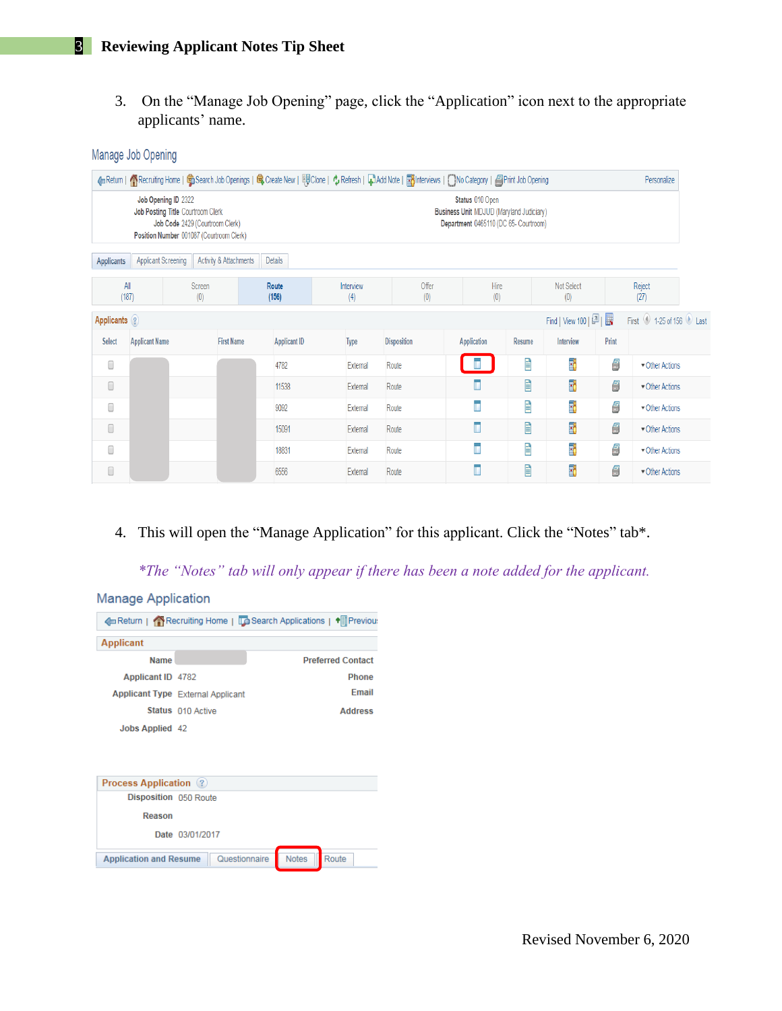Manage Job Opening

3. On the "Manage Job Opening" page, click the "Application" icon next to the appropriate applicants' name.

|               |                            |                                                          |                                                                                                                                                                                            |  |                     |                  |  | 4 Return   个Recruiting Home   Conserch Job Openings   Conserve New   EQ Cone   Conserversh   Conserversh   Conserversh   Mo Category   日Print Job Opening |                |        |                     |       | Personalize            |
|---------------|----------------------------|----------------------------------------------------------|--------------------------------------------------------------------------------------------------------------------------------------------------------------------------------------------|--|---------------------|------------------|--|-----------------------------------------------------------------------------------------------------------------------------------------------------------|----------------|--------|---------------------|-------|------------------------|
|               |                            | Job Opening ID 2322<br>Job Posting Title Courtroom Clerk | Status 010 Open<br><b>Business Unit MDJUD (Maryland Judiciary)</b><br>Job Code 2429 (Courtroom Clerk)<br>Department 0465110 (DC 65- Courtroom)<br>Position Number 001087 (Courtroom Clerk) |  |                     |                  |  |                                                                                                                                                           |                |        |                     |       |                        |
| Applicants    | <b>Applicant Screening</b> |                                                          | Activity & Attachments                                                                                                                                                                     |  | Details             |                  |  |                                                                                                                                                           |                |        |                     |       |                        |
|               | All<br>(187)               | <b>Screen</b><br>(0)                                     |                                                                                                                                                                                            |  | Route<br>(156)      | Interview<br>(4) |  | Offer<br>(0)                                                                                                                                              | Hire<br>(0)    |        | Not Select<br>(0)   |       | Reject<br>(27)         |
| Applicants ?  |                            |                                                          |                                                                                                                                                                                            |  |                     |                  |  |                                                                                                                                                           |                |        | Find   View 100   2 |       | First 1-25 of 156 Last |
| <b>Select</b> | <b>Applicant Name</b>      |                                                          | <b>First Name</b>                                                                                                                                                                          |  | <b>Applicant ID</b> | <b>Type</b>      |  | <b>Disposition</b>                                                                                                                                        | Application    | Resume | Interview           | Print |                        |
| 0             |                            |                                                          |                                                                                                                                                                                            |  | 4782                | External         |  | Route                                                                                                                                                     |                | Ê      | Ŧ,                  | 9     | Other Actions          |
| 0             |                            |                                                          |                                                                                                                                                                                            |  | 11538               | External         |  | Route                                                                                                                                                     | $\blacksquare$ | Ê      | F6                  | 5     | Other Actions          |
| 0             |                            |                                                          |                                                                                                                                                                                            |  | 9092                | External         |  | Route                                                                                                                                                     | ī              | Ê      | T.                  | 5     | Other Actions          |
| 0             |                            |                                                          |                                                                                                                                                                                            |  | 15091               | External         |  | Route                                                                                                                                                     | Ī              | Ê      | E6                  | 5     | Other Actions          |
| 0             |                            |                                                          |                                                                                                                                                                                            |  | 18831               | External         |  | Route                                                                                                                                                     | Ē              | È      | T)                  | 5     | Other Actions          |
| $\Box$        |                            |                                                          |                                                                                                                                                                                            |  | 6556                | External         |  | Route                                                                                                                                                     | ī              | Ê      | F6                  | 6     | Other Actions          |

4. This will open the "Manage Application" for this applicant. Click the "Notes" tab\*.

*\*The "Notes" tab will only appear if there has been a note added for the applicant.*